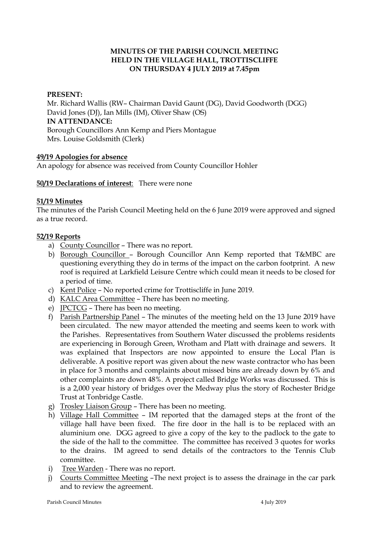# **MINUTES OF THE PARISH COUNCIL MEETING HELD IN THE VILLAGE HALL, TROTTISCLIFFE ON THURSDAY 4 JULY 2019 at 7.45pm**

#### **PRESENT:**

Mr. Richard Wallis (RW– Chairman David Gaunt (DG), David Goodworth (DGG) David Jones (DJ), Ian Mills (IM), Oliver Shaw (OS) **IN ATTENDANCE:**  Borough Councillors Ann Kemp and Piers Montague Mrs. Louise Goldsmith (Clerk)

#### **49/19 Apologies for absence**

An apology for absence was received from County Councillor Hohler

#### **50/19 Declarations of interest**: There were none

#### **51/19 Minutes**

The minutes of the Parish Council Meeting held on the 6 June 2019 were approved and signed as a true record.

#### **52/19 Reports**

- a) County Councillor There was no report.
- b) Borough Councillor Borough Councillor Ann Kemp reported that T&MBC are questioning everything they do in terms of the impact on the carbon footprint. A new roof is required at Larkfield Leisure Centre which could mean it needs to be closed for a period of time.
- c) Kent Police No reported crime for Trottiscliffe in June 2019.
- d) KALC Area Committee There has been no meeting.
- e) JPCTCG There has been no meeting.
- f) Parish Partnership Panel The minutes of the meeting held on the 13 June 2019 have been circulated. The new mayor attended the meeting and seems keen to work with the Parishes. Representatives from Southern Water discussed the problems residents are experiencing in Borough Green, Wrotham and Platt with drainage and sewers. It was explained that Inspectors are now appointed to ensure the Local Plan is deliverable. A positive report was given about the new waste contractor who has been in place for 3 months and complaints about missed bins are already down by 6% and other complaints are down 48%. A project called Bridge Works was discussed. This is is a 2,000 year history of bridges over the Medway plus the story of Rochester Bridge Trust at Tonbridge Castle.
- g) Trosley Liaison Group There has been no meeting.
- h) Village Hall Committee IM reported that the damaged steps at the front of the village hall have been fixed. The fire door in the hall is to be replaced with an aluminium one. DGG agreed to give a copy of the key to the padlock to the gate to the side of the hall to the committee. The committee has received 3 quotes for works to the drains. IM agreed to send details of the contractors to the Tennis Club committee.
- i) Tree Warden There was no report.
- j) Courts Committee Meeting –The next project is to assess the drainage in the car park and to review the agreement.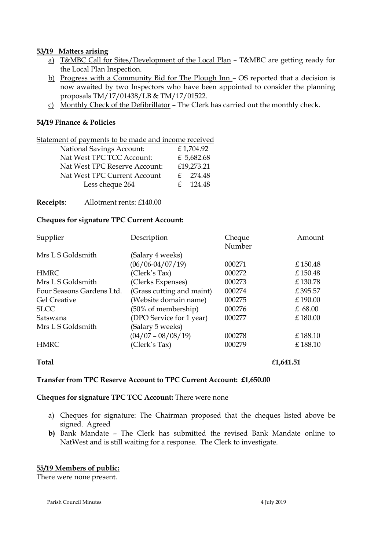#### **53/19 Matters arising**

- a) T&MBC Call for Sites/Development of the Local Plan T&MBC are getting ready for the Local Plan Inspection.
- b) Progress with a Community Bid for The Plough Inn OS reported that a decision is now awaited by two Inspectors who have been appointed to consider the planning proposals TM/17/01438/LB & TM/17/01522.
- c) Monthly Check of the Defibrillator The Clerk has carried out the monthly check.

# **54/19 Finance & Policies**

Statement of payments to be made and income received

| <b>National Savings Account:</b> | £1,704.92              |
|----------------------------------|------------------------|
| Nat West TPC TCC Account:        | £ 5,682.68             |
| Nat West TPC Reserve Account:    | £19,273.21             |
| Nat West TPC Current Account     | $f = 274.48$           |
| Less cheque 264                  | 124.48<br>$\mathbf{f}$ |

**Receipts**: Allotment rents: £140.00

# **Cheques for signature TPC Current Account:**

| Supplier                  | Description               | Cheque | Amount  |
|---------------------------|---------------------------|--------|---------|
|                           |                           | Number |         |
| Mrs L S Goldsmith         | (Salary 4 weeks)          |        |         |
|                           | $(06/06 - 04/07/19)$      | 000271 | £150.48 |
| <b>HMRC</b>               | (Clerk's Tax)             | 000272 | £150.48 |
| Mrs L S Goldsmith         | (Clerks Expenses)         | 000273 | £130.78 |
| Four Seasons Gardens Ltd. | (Grass cutting and maint) | 000274 | £395.57 |
| <b>Gel Creative</b>       | (Website domain name)     | 000275 | £190.00 |
| <b>SLCC</b>               | (50% of membership)       | 000276 | £68.00  |
| Satswana                  | (DPO Service for 1 year)  | 000277 | £180.00 |
| Mrs L S Goldsmith         | (Salary 5 weeks)          |        |         |
|                           | $(04/07 - 08/08/19)$      | 000278 | £188.10 |
| <b>HMRC</b>               | (Clerk's Tax)             | 000279 | £188.10 |

**Total £1,641.51**

# **Transfer from TPC Reserve Account to TPC Current Account: £1,650.00**

#### **Cheques for signature TPC TCC Account:** There were none

- a) Cheques for signature: The Chairman proposed that the cheques listed above be signed. Agreed
- **b)** Bank Mandate The Clerk has submitted the revised Bank Mandate online to NatWest and is still waiting for a response. The Clerk to investigate.

# **55/19 Members of public:**

There were none present.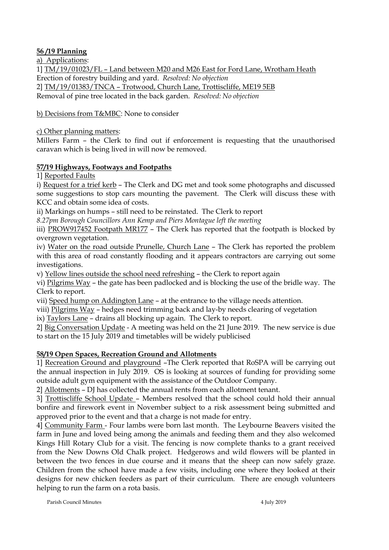# **56 /19 Planning**

a) Applications:

1] TM/19/01023/FL – Land between M20 and M26 East for Ford Lane, Wrotham Heath Erection of forestry building and yard. *Resolved: No objection* 2] TM/19/01383/TNCA – Trotwood, Church Lane, Trottiscliffe, ME19 5EB Removal of pine tree located in the back garden. *Resolved: No objection*

b) Decisions from T&MBC: None to consider

c) Other planning matters:

Millers Farm – the Clerk to find out if enforcement is requesting that the unauthorised caravan which is being lived in will now be removed.

# **57/19 Highways, Footways and Footpaths**

1] Reported Faults

i) Request for a trief kerb – The Clerk and DG met and took some photographs and discussed some suggestions to stop cars mounting the pavement. The Clerk will discuss these with KCC and obtain some idea of costs.

ii) Markings on humps – still need to be reinstated. The Clerk to report

*8.27pm Borough Councillors Ann Kemp and Piers Montague left the meeting*

iii) PROW917452 Footpath MR177 – The Clerk has reported that the footpath is blocked by overgrown vegetation.

iv) Water on the road outside Prunelle, Church Lane – The Clerk has reported the problem with this area of road constantly flooding and it appears contractors are carrying out some investigations.

v) Yellow lines outside the school need refreshing – the Clerk to report again

vi) Pilgrims Way – the gate has been padlocked and is blocking the use of the bridle way. The Clerk to report.

vii) Speed hump on Addington Lane – at the entrance to the village needs attention.

viii) Pilgrims Way – hedges need trimming back and lay-by needs clearing of vegetation

ix) Taylors Lane – drains all blocking up again. The Clerk to report.

2] Big Conversation Update - A meeting was held on the 21 June 2019. The new service is due to start on the 15 July 2019 and timetables will be widely publicised

# **58/19 Open Spaces, Recreation Ground and Allotments**

1] Recreation Ground and playground –The Clerk reported that RoSPA will be carrying out the annual inspection in July 2019. OS is looking at sources of funding for providing some outside adult gym equipment with the assistance of the Outdoor Company.

2] Allotments – DJ has collected the annual rents from each allotment tenant.

3] Trottiscliffe School Update – Members resolved that the school could hold their annual bonfire and firework event in November subject to a risk assessment being submitted and approved prior to the event and that a charge is not made for entry.

4] Community Farm - Four lambs were born last month. The Leybourne Beavers visited the farm in June and loved being among the animals and feeding them and they also welcomed Kings Hill Rotary Club for a visit. The fencing is now complete thanks to a grant received from the New Downs Old Chalk project. Hedgerows and wild flowers will be planted in between the two fences in due course and it means that the sheep can now safely graze. Children from the school have made a few visits, including one where they looked at their designs for new chicken feeders as part of their curriculum. There are enough volunteers helping to run the farm on a rota basis.